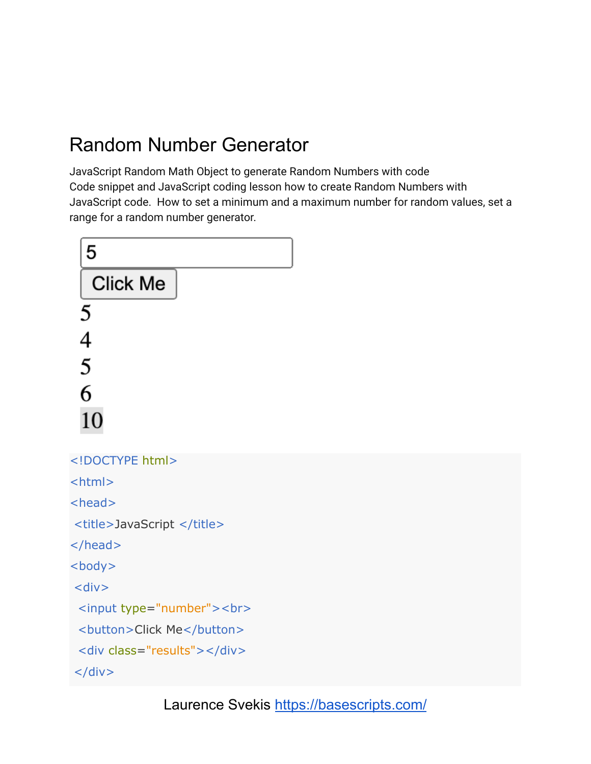## Random Number Generator

JavaScript Random Math Object to generate Random Numbers with code Code snippet and JavaScript coding lesson how to create Random Numbers with JavaScript code. How to set a minimum and a maximum number for random values, set a range for a random number generator.

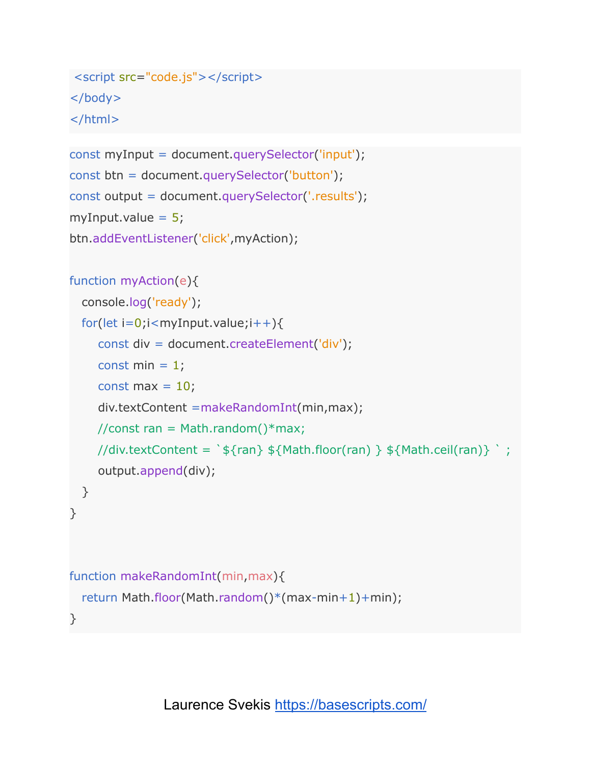```
<script src="code.js"></script>
</body>
</html>
```

```
const myInput = document.querySelector('input');
const btn = document.querySelector('button');
const output = document.querySelector('.results');
myInput.value = 5;btn.addEventListener('click',myAction);
```

```
function myAction(e){
```

```
console.log('ready');
 for(let i=0;i<myInput.value;i++){
    const div = document.createElement('div');
    const min = 1;
    const max = 10;
    div.textContent =makeRandomInt(min,max);
    //const ran = Math.random()*max;
    //div.textContent = \sqrt{s}{ran} ${Math.floor(ran) } ${Math.ceil(ran)} \cdot;
    output.append(div);
 }
}
function makeRandomInt(min,max){
 return Math.floor(Math.random()*(max-min+1)+min);
```
}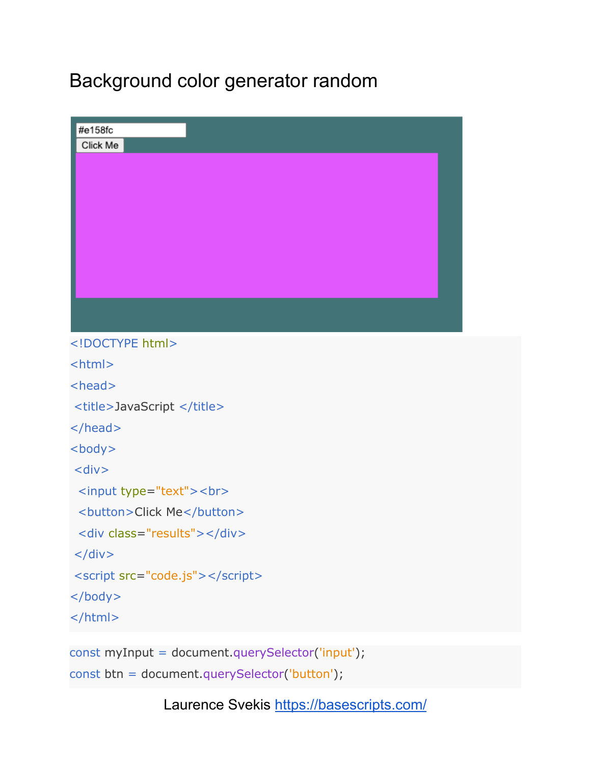## Background color generator random

| #e158fc                                          |  |
|--------------------------------------------------|--|
| Click Me                                         |  |
|                                                  |  |
|                                                  |  |
|                                                  |  |
|                                                  |  |
|                                                  |  |
|                                                  |  |
|                                                  |  |
|                                                  |  |
| html                                             |  |
| <html></html>                                    |  |
| <head></head>                                    |  |
| <title>JavaScript </title>                       |  |
| $<$ /head>                                       |  |
| $body$                                           |  |
| $<$ div $>$                                      |  |
| <input type="text"/><br>                         |  |
| <button>Click Me</button>                        |  |
| <div class="results"></div>                      |  |
| $\langle$ div $>$                                |  |
| <script src="code.js"></script>                  |  |
|                                                  |  |
| $<$ /html>                                       |  |
|                                                  |  |
| const myInput = document.querySelector('input'); |  |
| const btn = document.querySelector('button');    |  |

Laurence Svekis <https://basescripts.com/>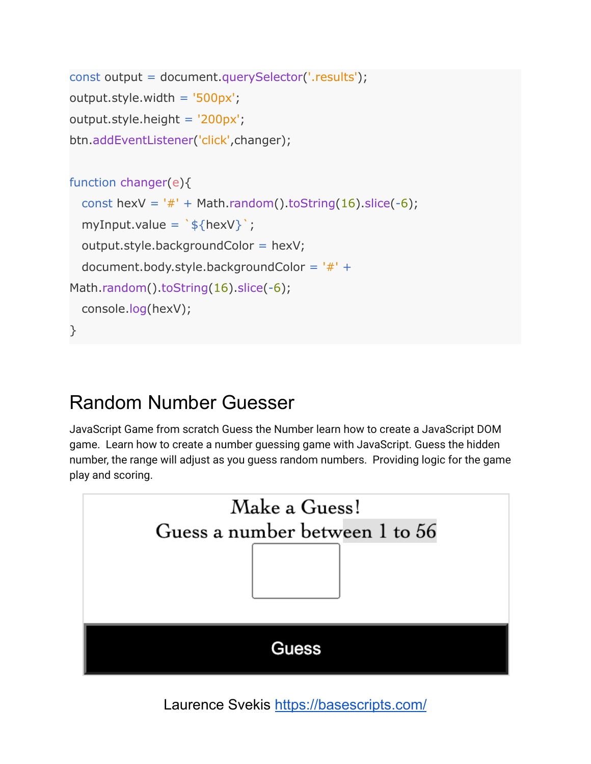```
const output = document.querySelector('.results');
output.style.width = '500px';
output.style.height = '200px';
btn.addEventListener('click',changer);
function changer(e){
 const hexV = '#' + Math.random().toString(16).slice(-6);
  myInput.value = \sqrt{s}{hexV}';
 output.style.backgroundColor = hexV;
 document.body.style.backgroundColor = '#' +
Math.random().toString(16).slice(-6);
 console.log(hexV);
}
```

```
Random Number Guesser
```
JavaScript Game from scratch Guess the Number learn how to create a JavaScript DOM game. Learn how to create a number guessing game with JavaScript. Guess the hidden number, the range will adjust as you guess random numbers. Providing logic for the game play and scoring.



Laurence Svekis <https://basescripts.com/>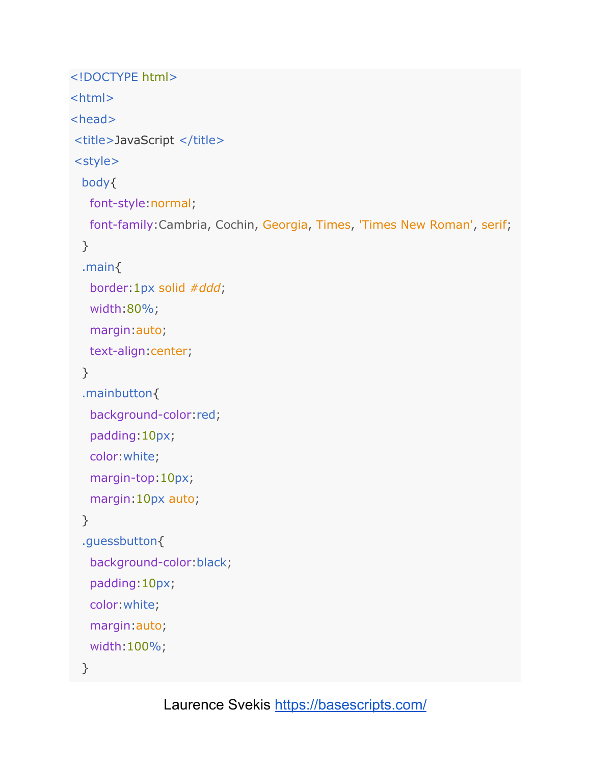```
<!DOCTYPE html>
<html>
<head>
<title>JavaScript </title>
<style>
 body{
  font-style:normal;
  font-family:Cambria, Cochin, Georgia, Times, 'Times New Roman', serif;
 }
 .main{
  border:1px solid #ddd;
   width:80%;
  margin:auto;
  text-align:center;
 }
 .mainbutton{
   background-color:red;
  padding:10px;
   color:white;
  margin-top:10px;
   margin:10px auto;
 }
 .guessbutton{
   background-color:black;
   padding:10px;
   color:white;
   margin:auto;
   width:100%;
 }
```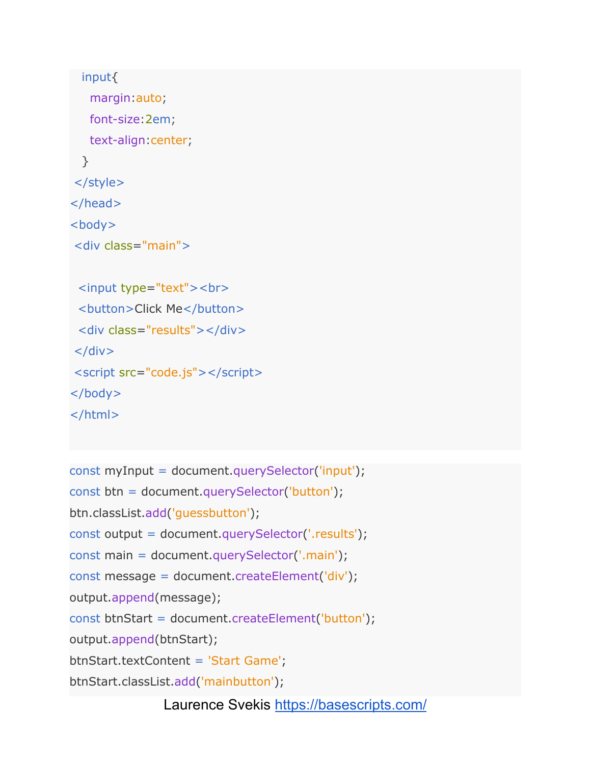```
input{
   margin:auto;
   font-size:2em;
   text-align:center;
 }
</style>
</head>
<body>
<div class="main">
 <input type="text"><br>
 <button>Click Me</button>
 <div class="results"></div>
\langlediv\rangle<script src="code.js"></script>
</body>
```

```
</html>
```

```
const myInput = document.querySelector('input');
const btn = document.querySelector('button');
btn.classList.add('guessbutton');
const output = document.querySelector('.results');
const main = document.querySelector('.main');
const message = document.createElement('div');
output.append(message);
const btnStart = document.createElement('button');
output.append(btnStart);
btnStart.textContent = 'Start Game';
btnStart.classList.add('mainbutton');
```
Laurence Svekis <https://basescripts.com/>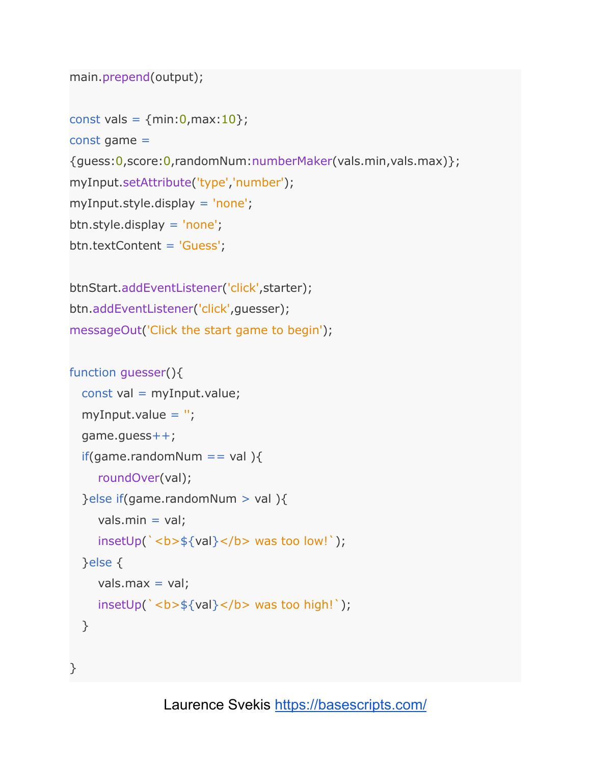```
main.prepend(output);
```

```
const vals = {min:0, max:10};
```
const game =

{guess:0,score:0,randomNum:numberMaker(vals.min,vals.max)};

```
myInput.setAttribute('type','number');
```
myInput.style.display = 'none';

btn.style.display = 'none';

```
btn.textContent = 'Guess';
```

```
btnStart.addEventListener('click',starter);
btn.addEventListener('click',guesser);
messageOut('Click the start game to begin');
```

```
function guesser(){
 const val = myInput.value;
  myInput.value = ";
 game.guess++;
 if(game.randomNum == val ){
    roundOver(val);
 }else if(game.randomNum > val ){
    vals.min = val;insetUp(' <b>b</b> > ${val} < /b> was too low!);
 }else {
    vals.max = val;insetUp(`<b>${val}</b> was too high!`);
 }
}
```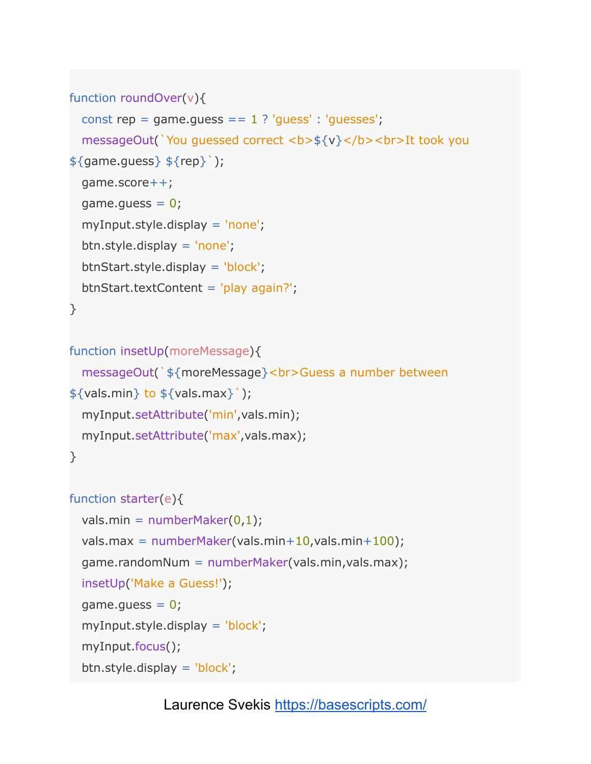```
function roundOver(v){
```

```
const rep = game.guess == 1 ? 'guess' : 'guesses';
  messageOut(`You guessed correct <b>${v}</b><br>It took you
\{\text{game.guess}\}\ {\{\text{rep}\}'};
  game.score++;
 game.guess = 0;
  myInput.style.display = 'none';
 btn.style.display = 'none';
  btnStart.style.display = 'block';
  btnStart.textContent = 'play again?';
}
```

```
function insetUp(moreMessage){
  messageOut(`${moreMessage}<br>Guess a number between
\{\{\text{vals.min}\}\ to \{\{\text{vals.max}\}\);
  myInput.setAttribute('min',vals.min);
  myInput.setAttribute('max',vals.max);
}
```

```
function starter(e){
```

```
vals.min = numberMaster(0,1);vals.max = numberMakely{} vals.min+10, vals.min+100);
game.randomNum = numberMaker(vals.min,vals.max);
insetUp('Make a Guess!');
game.quess = 0;myInput.style.display = 'block';
myInput.focus();
btn.style.display = 'block';
```